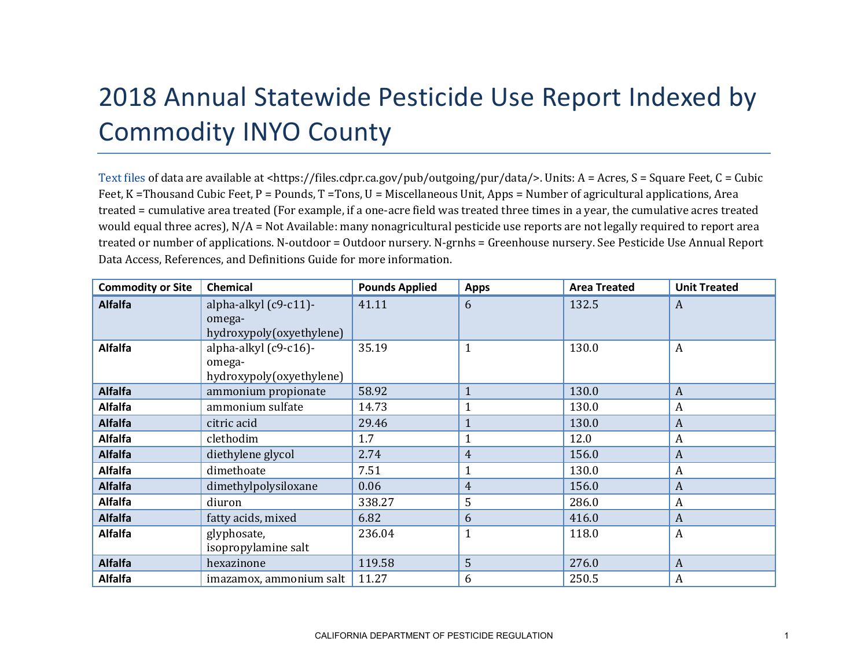## 2018 Annual Statewide Pesticide Use Report Indexed by Commodity INYO County

[Text files](https://files.cdpr.ca.gov/pub/outgoing/pur/data/) of data are available at <https://files.cdpr.ca.gov/pub/outgoing/pur/data/>. Units: A = Acres, S = Square Feet, C = Cubic Feet, K = Thousand Cubic Feet, P = Pounds, T = Tons, U = Miscellaneous Unit, Apps = Number of agricultural applications, Area treated = cumulative area treated (For example, if a one-acre field was treated three times in a year, the cumulative acres treated would equal three acres), N/A = Not Available: many nonagricultural pesticide use reports are not legally required to report area treated or number of applications. N-outdoor = Outdoor nursery. N-grnhs = Greenhouse nursery. See Pesticide Use Annual Report Data Access, References, and Definitions Guide for more information.

| <b>Commodity or Site</b> | <b>Chemical</b>                                             | <b>Pounds Applied</b> | <b>Apps</b>    | <b>Area Treated</b> | <b>Unit Treated</b> |
|--------------------------|-------------------------------------------------------------|-----------------------|----------------|---------------------|---------------------|
| <b>Alfalfa</b>           | alpha-alkyl (c9-c11)-<br>omega-<br>hydroxypoly(oxyethylene) | 41.11                 | 6              | 132.5               | A                   |
| <b>Alfalfa</b>           | alpha-alkyl (c9-c16)-<br>omega-<br>hydroxypoly(oxyethylene) | 35.19                 |                | 130.0               | $\boldsymbol{A}$    |
| <b>Alfalfa</b>           | ammonium propionate                                         | 58.92                 | $\mathbf{1}$   | 130.0               | A                   |
| <b>Alfalfa</b>           | ammonium sulfate                                            | 14.73                 |                | 130.0               | A                   |
| <b>Alfalfa</b>           | citric acid                                                 | 29.46                 |                | 130.0               | $\boldsymbol{A}$    |
| <b>Alfalfa</b>           | clethodim                                                   | 1.7                   |                | 12.0                | $\boldsymbol{A}$    |
| <b>Alfalfa</b>           | diethylene glycol                                           | 2.74                  | 4              | 156.0               | A                   |
| <b>Alfalfa</b>           | dimethoate                                                  | 7.51                  |                | 130.0               | A                   |
| <b>Alfalfa</b>           | dimethylpolysiloxane                                        | 0.06                  | $\overline{4}$ | 156.0               | $\boldsymbol{A}$    |
| <b>Alfalfa</b>           | diuron                                                      | 338.27                | 5              | 286.0               | A                   |
| <b>Alfalfa</b>           | fatty acids, mixed                                          | 6.82                  | 6              | 416.0               | $\mathbf{A}$        |
| <b>Alfalfa</b>           | glyphosate,<br>isopropylamine salt                          | 236.04                |                | 118.0               | $\boldsymbol{A}$    |
| <b>Alfalfa</b>           | hexazinone                                                  | 119.58                | 5              | 276.0               | $\boldsymbol{A}$    |
| <b>Alfalfa</b>           | imazamox, ammonium salt                                     | 11.27                 | 6              | 250.5               | A                   |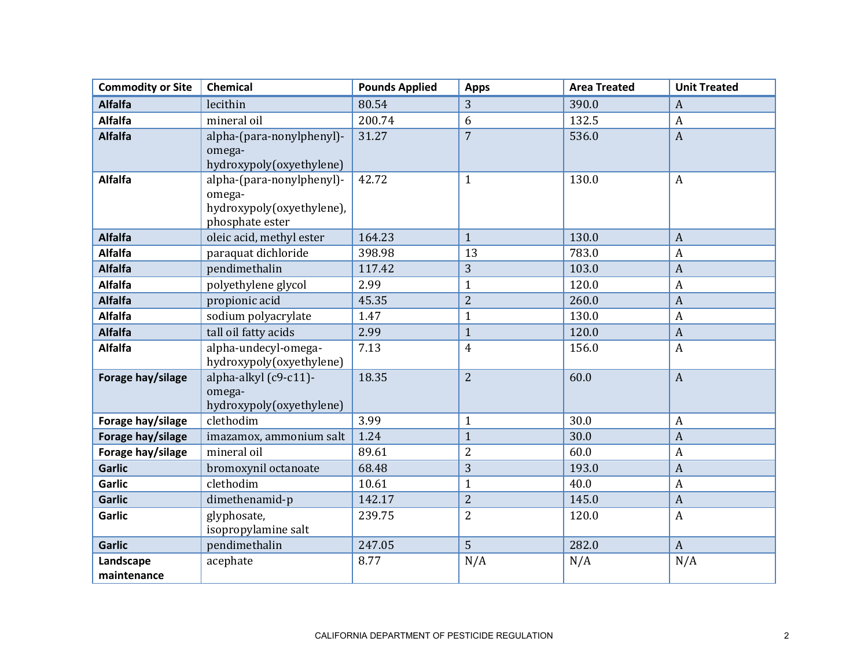| <b>Commodity or Site</b> | <b>Chemical</b>                                                                     | <b>Pounds Applied</b> | <b>Apps</b>    | <b>Area Treated</b> | <b>Unit Treated</b> |
|--------------------------|-------------------------------------------------------------------------------------|-----------------------|----------------|---------------------|---------------------|
| <b>Alfalfa</b>           | lecithin                                                                            | 80.54                 | 3              | 390.0               | $\boldsymbol{A}$    |
| <b>Alfalfa</b>           | mineral oil                                                                         | 200.74                | 6              | 132.5               | $\boldsymbol{A}$    |
| <b>Alfalfa</b>           | alpha-(para-nonylphenyl)-<br>omega-<br>hydroxypoly(oxyethylene)                     | 31.27                 | $\overline{7}$ | 536.0               | $\overline{A}$      |
| <b>Alfalfa</b>           | alpha-(para-nonylphenyl)-<br>omega-<br>hydroxypoly(oxyethylene),<br>phosphate ester | 42.72                 | $\mathbf{1}$   | 130.0               | $\boldsymbol{A}$    |
| <b>Alfalfa</b>           | oleic acid, methyl ester                                                            | 164.23                | $\mathbf{1}$   | 130.0               | $\overline{A}$      |
| <b>Alfalfa</b>           | paraquat dichloride                                                                 | 398.98                | 13             | 783.0               | $\boldsymbol{A}$    |
| <b>Alfalfa</b>           | pendimethalin                                                                       | 117.42                | 3              | 103.0               | $\overline{A}$      |
| <b>Alfalfa</b>           | polyethylene glycol                                                                 | 2.99                  | $\mathbf{1}$   | 120.0               | $\boldsymbol{A}$    |
| <b>Alfalfa</b>           | propionic acid                                                                      | 45.35                 | $\overline{2}$ | 260.0               | $\mathbf{A}$        |
| <b>Alfalfa</b>           | sodium polyacrylate                                                                 | 1.47                  | $\mathbf{1}$   | 130.0               | $\boldsymbol{A}$    |
| <b>Alfalfa</b>           | tall oil fatty acids                                                                | 2.99                  | $\mathbf{1}$   | 120.0               | $\boldsymbol{A}$    |
| <b>Alfalfa</b>           | alpha-undecyl-omega-<br>hydroxypoly(oxyethylene)                                    | 7.13                  | $\overline{4}$ | 156.0               | $\boldsymbol{A}$    |
| Forage hay/silage        | alpha-alkyl (c9-c11)-<br>omega-<br>hydroxypoly(oxyethylene)                         | 18.35                 | $\overline{2}$ | 60.0                | $\mathbf{A}$        |
| Forage hay/silage        | clethodim                                                                           | 3.99                  | $\mathbf{1}$   | 30.0                | $\boldsymbol{A}$    |
| Forage hay/silage        | imazamox, ammonium salt                                                             | 1.24                  | $\mathbf{1}$   | 30.0                | $\overline{A}$      |
| Forage hay/silage        | mineral oil                                                                         | 89.61                 | $\overline{2}$ | 60.0                | $\boldsymbol{A}$    |
| <b>Garlic</b>            | bromoxynil octanoate                                                                | 68.48                 | 3              | 193.0               | $\overline{A}$      |
| <b>Garlic</b>            | clethodim                                                                           | 10.61                 | $\mathbf{1}$   | 40.0                | $\boldsymbol{A}$    |
| <b>Garlic</b>            | dimethenamid-p                                                                      | 142.17                | $\overline{c}$ | 145.0               | $\overline{A}$      |
| <b>Garlic</b>            | glyphosate,<br>isopropylamine salt                                                  | 239.75                | $\overline{2}$ | 120.0               | $\boldsymbol{A}$    |
| <b>Garlic</b>            | pendimethalin                                                                       | 247.05                | 5              | 282.0               | $\mathbf{A}$        |
| Landscape<br>maintenance | acephate                                                                            | 8.77                  | N/A            | N/A                 | N/A                 |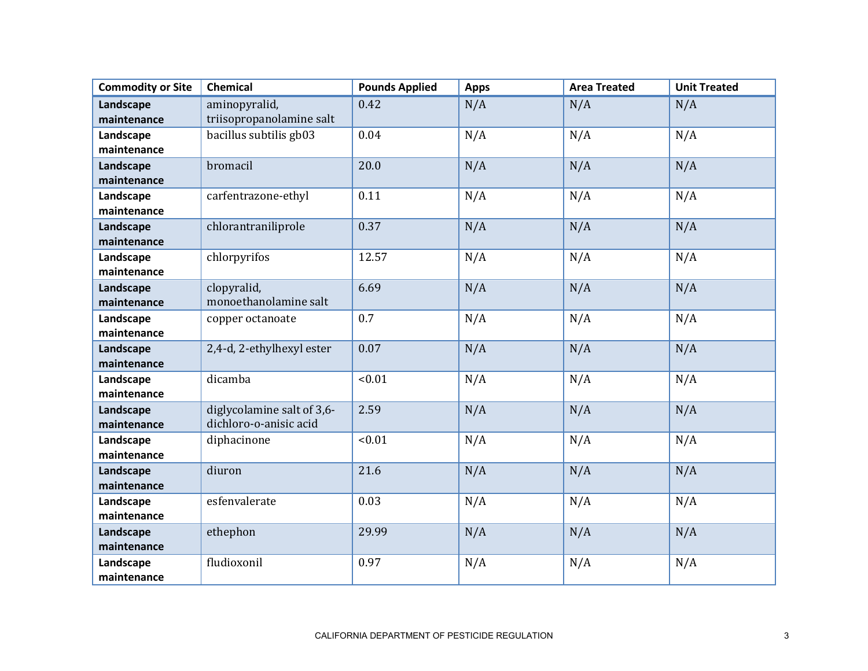| <b>Commodity or Site</b> | Chemical                   | <b>Pounds Applied</b> | <b>Apps</b> | <b>Area Treated</b> | <b>Unit Treated</b> |
|--------------------------|----------------------------|-----------------------|-------------|---------------------|---------------------|
| Landscape                | aminopyralid,              | 0.42                  | N/A         | N/A                 | N/A                 |
| maintenance              | triisopropanolamine salt   |                       |             |                     |                     |
| Landscape                | bacillus subtilis gb03     | 0.04                  | N/A         | N/A                 | N/A                 |
| maintenance              |                            |                       |             |                     |                     |
| Landscape                | bromacil                   | 20.0                  | N/A         | N/A                 | N/A                 |
| maintenance              |                            |                       |             |                     |                     |
| Landscape                | carfentrazone-ethyl        | 0.11                  | N/A         | N/A                 | N/A                 |
| maintenance              |                            |                       |             |                     |                     |
| Landscape                | chlorantraniliprole        | 0.37                  | N/A         | N/A                 | N/A                 |
| maintenance              |                            |                       |             |                     |                     |
| Landscape                | chlorpyrifos               | 12.57                 | N/A         | N/A                 | N/A                 |
| maintenance              |                            |                       |             |                     |                     |
| Landscape                | clopyralid,                | 6.69                  | N/A         | N/A                 | N/A                 |
| maintenance              | monoethanolamine salt      |                       |             |                     |                     |
| Landscape                | copper octanoate           | 0.7                   | N/A         | N/A                 | N/A                 |
| maintenance              |                            |                       |             |                     |                     |
| Landscape                | 2,4-d, 2-ethylhexyl ester  | 0.07                  | N/A         | N/A                 | N/A                 |
| maintenance              |                            |                       |             |                     |                     |
| Landscape                | dicamba                    | < 0.01                | N/A         | N/A                 | N/A                 |
| maintenance              |                            |                       |             |                     |                     |
| Landscape                | diglycolamine salt of 3,6- | 2.59                  | N/A         | N/A                 | N/A                 |
| maintenance              | dichloro-o-anisic acid     |                       |             |                     |                     |
| Landscape                | diphacinone                | < 0.01                | N/A         | N/A                 | N/A                 |
| maintenance              |                            |                       |             |                     |                     |
| Landscape                | diuron                     | 21.6                  | N/A         | N/A                 | N/A                 |
| maintenance              |                            |                       |             |                     |                     |
| Landscape                | esfenvalerate              | 0.03                  | N/A         | N/A                 | N/A                 |
| maintenance              |                            |                       |             |                     |                     |
| Landscape                | ethephon                   | 29.99                 | N/A         | N/A                 | N/A                 |
| maintenance              |                            |                       |             |                     |                     |
| Landscape                | fludioxonil                | 0.97                  | N/A         | N/A                 | N/A                 |
| maintenance              |                            |                       |             |                     |                     |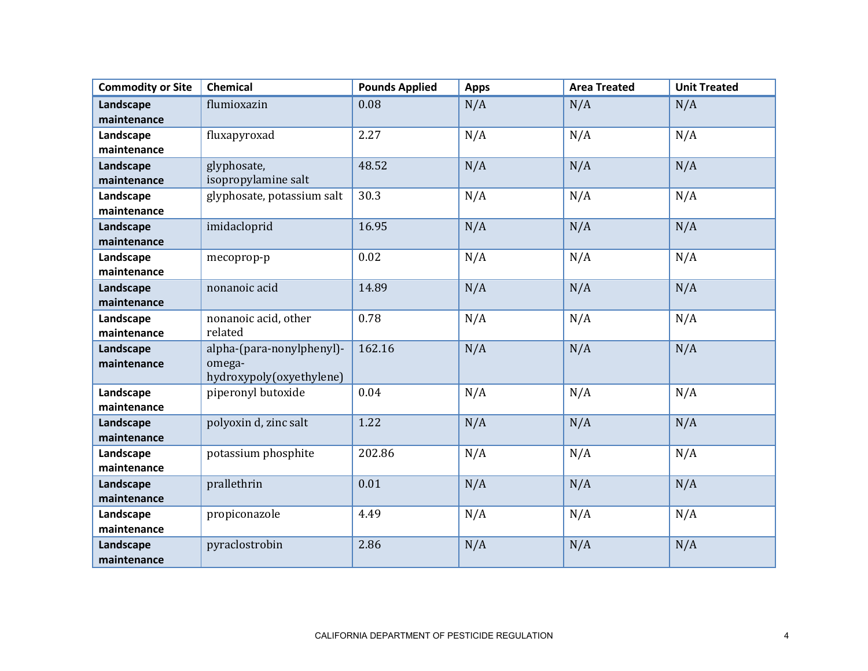| <b>Commodity or Site</b> | <b>Chemical</b>            | <b>Pounds Applied</b> | <b>Apps</b> | <b>Area Treated</b> | <b>Unit Treated</b> |
|--------------------------|----------------------------|-----------------------|-------------|---------------------|---------------------|
| Landscape                | flumioxazin                | 0.08                  | N/A         | N/A                 | N/A                 |
| maintenance              |                            |                       |             |                     |                     |
| Landscape                | fluxapyroxad               | 2.27                  | N/A         | N/A                 | N/A                 |
| maintenance              |                            |                       |             |                     |                     |
| Landscape                | glyphosate,                | 48.52                 | N/A         | N/A                 | N/A                 |
| maintenance              | isopropylamine salt        |                       |             |                     |                     |
| Landscape                | glyphosate, potassium salt | 30.3                  | N/A         | N/A                 | N/A                 |
| maintenance              |                            |                       |             |                     |                     |
| Landscape                | imidacloprid               | 16.95                 | N/A         | N/A                 | N/A                 |
| maintenance              |                            |                       |             |                     |                     |
| Landscape                | mecoprop-p                 | 0.02                  | N/A         | N/A                 | N/A                 |
| maintenance              |                            |                       |             |                     |                     |
| Landscape                | nonanoic acid              | 14.89                 | N/A         | N/A                 | N/A                 |
| maintenance              |                            |                       |             |                     |                     |
| Landscape                | nonanoic acid, other       | 0.78                  | N/A         | N/A                 | N/A                 |
| maintenance              | related                    |                       |             |                     |                     |
| Landscape                | alpha-(para-nonylphenyl)-  | 162.16                | N/A         | N/A                 | N/A                 |
| maintenance              | omega-                     |                       |             |                     |                     |
|                          | hydroxypoly(oxyethylene)   |                       |             |                     |                     |
| Landscape<br>maintenance | piperonyl butoxide         | 0.04                  | N/A         | N/A                 | N/A                 |
|                          |                            |                       |             |                     |                     |
| Landscape<br>maintenance | polyoxin d, zinc salt      | 1.22                  | N/A         | N/A                 | N/A                 |
|                          |                            |                       |             |                     |                     |
| Landscape<br>maintenance | potassium phosphite        | 202.86                | N/A         | N/A                 | N/A                 |
|                          | prallethrin                | 0.01                  |             |                     |                     |
| Landscape<br>maintenance |                            |                       | N/A         | N/A                 | N/A                 |
|                          | propiconazole              | 4.49                  |             | N/A                 |                     |
| Landscape<br>maintenance |                            |                       | N/A         |                     | N/A                 |
|                          | pyraclostrobin             | 2.86                  |             |                     | N/A                 |
| Landscape<br>maintenance |                            |                       | N/A         | N/A                 |                     |
|                          |                            |                       |             |                     |                     |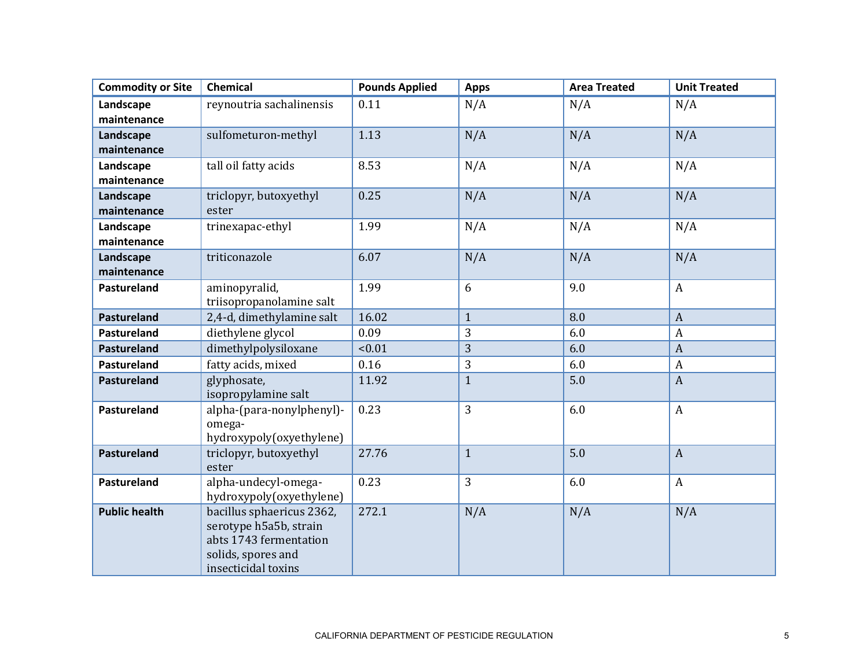| <b>Commodity or Site</b> | Chemical                           | <b>Pounds Applied</b> | <b>Apps</b>  | <b>Area Treated</b> | <b>Unit Treated</b> |
|--------------------------|------------------------------------|-----------------------|--------------|---------------------|---------------------|
| Landscape                | reynoutria sachalinensis           | 0.11                  | N/A          | N/A                 | N/A                 |
| maintenance              |                                    |                       |              |                     |                     |
| Landscape                | sulfometuron-methyl                | 1.13                  | N/A          | N/A                 | N/A                 |
| maintenance              |                                    |                       |              |                     |                     |
| Landscape                | tall oil fatty acids               | 8.53                  | N/A          | N/A                 | N/A                 |
| maintenance              |                                    |                       |              |                     |                     |
| Landscape                | triclopyr, butoxyethyl             | 0.25                  | N/A          | N/A                 | N/A                 |
| maintenance              | ester                              |                       |              |                     |                     |
| Landscape                | trinexapac-ethyl                   | 1.99                  | N/A          | N/A                 | N/A                 |
| maintenance              |                                    |                       |              |                     |                     |
| Landscape                | triticonazole                      | 6.07                  | N/A          | N/A                 | N/A                 |
| maintenance              |                                    |                       |              |                     |                     |
| Pastureland              | aminopyralid,                      | 1.99                  | 6            | 9.0                 | $\boldsymbol{A}$    |
|                          | triisopropanolamine salt           |                       |              |                     |                     |
| Pastureland              | 2,4-d, dimethylamine salt          | 16.02                 | $\mathbf{1}$ | 8.0                 | $\overline{A}$      |
| <b>Pastureland</b>       | diethylene glycol                  | 0.09                  | 3            | 6.0                 | $\boldsymbol{A}$    |
| <b>Pastureland</b>       | dimethylpolysiloxane               | < 0.01                | 3            | 6.0                 | $\boldsymbol{A}$    |
| <b>Pastureland</b>       | fatty acids, mixed                 | 0.16                  | 3            | 6.0                 | $\boldsymbol{A}$    |
| <b>Pastureland</b>       | glyphosate,                        | 11.92                 | $\mathbf{1}$ | 5.0                 | $\boldsymbol{A}$    |
|                          | isopropylamine salt                |                       |              |                     |                     |
| Pastureland              | alpha-(para-nonylphenyl)-          | 0.23                  | 3            | 6.0                 | $\boldsymbol{A}$    |
|                          | omega-<br>hydroxypoly(oxyethylene) |                       |              |                     |                     |
| Pastureland              | triclopyr, butoxyethyl             | 27.76                 | $\mathbf{1}$ | 5.0                 | $\overline{A}$      |
|                          | ester                              |                       |              |                     |                     |
| Pastureland              | alpha-undecyl-omega-               | 0.23                  | 3            | 6.0                 | $\boldsymbol{A}$    |
|                          | hydroxypoly(oxyethylene)           |                       |              |                     |                     |
| <b>Public health</b>     | bacillus sphaericus 2362,          | 272.1                 | N/A          | N/A                 | N/A                 |
|                          | serotype h5a5b, strain             |                       |              |                     |                     |
|                          | abts 1743 fermentation             |                       |              |                     |                     |
|                          | solids, spores and                 |                       |              |                     |                     |
|                          | insecticidal toxins                |                       |              |                     |                     |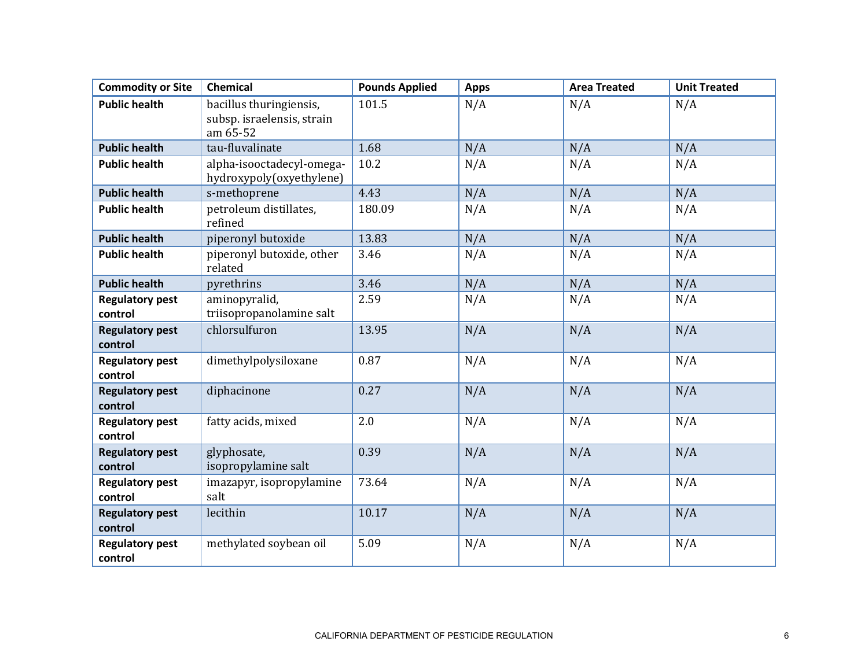| <b>Commodity or Site</b>          | <b>Chemical</b>                                                   | <b>Pounds Applied</b> | <b>Apps</b> | <b>Area Treated</b> | <b>Unit Treated</b> |
|-----------------------------------|-------------------------------------------------------------------|-----------------------|-------------|---------------------|---------------------|
| <b>Public health</b>              | bacillus thuringiensis,<br>subsp. israelensis, strain<br>am 65-52 | 101.5                 | N/A         | N/A                 | N/A                 |
| <b>Public health</b>              | tau-fluvalinate                                                   | 1.68                  | N/A         | N/A                 | N/A                 |
| <b>Public health</b>              | alpha-isooctadecyl-omega-<br>hydroxypoly(oxyethylene)             | 10.2                  | N/A         | N/A                 | N/A                 |
| <b>Public health</b>              | s-methoprene                                                      | 4.43                  | N/A         | N/A                 | N/A                 |
| <b>Public health</b>              | petroleum distillates,<br>refined                                 | 180.09                | N/A         | N/A                 | N/A                 |
| <b>Public health</b>              | piperonyl butoxide                                                | 13.83                 | N/A         | N/A                 | N/A                 |
| <b>Public health</b>              | piperonyl butoxide, other<br>related                              | 3.46                  | N/A         | N/A                 | N/A                 |
| <b>Public health</b>              | pyrethrins                                                        | 3.46                  | N/A         | N/A                 | N/A                 |
| <b>Regulatory pest</b><br>control | aminopyralid,<br>triisopropanolamine salt                         | 2.59                  | N/A         | N/A                 | N/A                 |
| <b>Regulatory pest</b><br>control | chlorsulfuron                                                     | 13.95                 | N/A         | N/A                 | N/A                 |
| <b>Regulatory pest</b><br>control | dimethylpolysiloxane                                              | 0.87                  | N/A         | N/A                 | N/A                 |
| <b>Regulatory pest</b><br>control | diphacinone                                                       | 0.27                  | N/A         | N/A                 | N/A                 |
| <b>Regulatory pest</b><br>control | fatty acids, mixed                                                | 2.0                   | N/A         | N/A                 | N/A                 |
| <b>Regulatory pest</b><br>control | glyphosate,<br>isopropylamine salt                                | 0.39                  | N/A         | N/A                 | N/A                 |
| <b>Regulatory pest</b><br>control | imazapyr, isopropylamine<br>salt                                  | 73.64                 | N/A         | N/A                 | N/A                 |
| <b>Regulatory pest</b><br>control | lecithin                                                          | 10.17                 | N/A         | N/A                 | N/A                 |
| <b>Regulatory pest</b><br>control | methylated soybean oil                                            | 5.09                  | N/A         | N/A                 | N/A                 |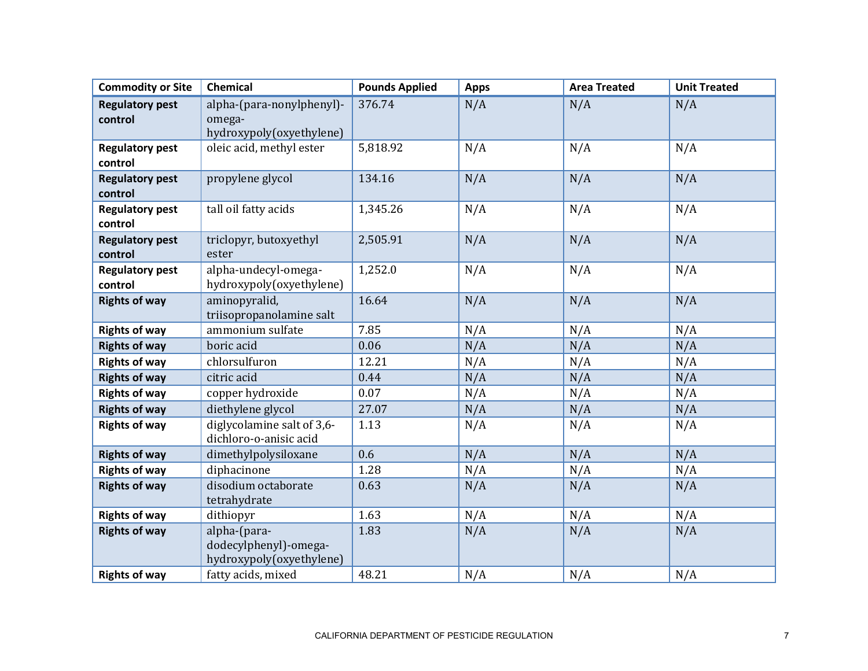| <b>Commodity or Site</b>          | <b>Chemical</b>                                                   | <b>Pounds Applied</b> | <b>Apps</b> | <b>Area Treated</b> | <b>Unit Treated</b> |
|-----------------------------------|-------------------------------------------------------------------|-----------------------|-------------|---------------------|---------------------|
| <b>Regulatory pest</b><br>control | alpha-(para-nonylphenyl)-<br>omega-<br>hydroxypoly(oxyethylene)   | 376.74                | N/A         | N/A                 | N/A                 |
| <b>Regulatory pest</b><br>control | oleic acid, methyl ester                                          | 5,818.92              | N/A         | N/A                 | N/A                 |
| <b>Regulatory pest</b><br>control | propylene glycol                                                  | 134.16                | N/A         | N/A                 | N/A                 |
| <b>Regulatory pest</b><br>control | tall oil fatty acids                                              | 1,345.26              | N/A         | N/A                 | N/A                 |
| <b>Regulatory pest</b><br>control | triclopyr, butoxyethyl<br>ester                                   | 2,505.91              | N/A         | N/A                 | N/A                 |
| <b>Regulatory pest</b><br>control | alpha-undecyl-omega-<br>hydroxypoly(oxyethylene)                  | 1,252.0               | N/A         | N/A                 | N/A                 |
| <b>Rights of way</b>              | aminopyralid,<br>triisopropanolamine salt                         | 16.64                 | N/A         | N/A                 | N/A                 |
| <b>Rights of way</b>              | ammonium sulfate                                                  | 7.85                  | N/A         | N/A                 | N/A                 |
| <b>Rights of way</b>              | boric acid                                                        | 0.06                  | N/A         | N/A                 | N/A                 |
| <b>Rights of way</b>              | chlorsulfuron                                                     | 12.21                 | N/A         | N/A                 | N/A                 |
| <b>Rights of way</b>              | citric acid                                                       | 0.44                  | N/A         | N/A                 | N/A                 |
| <b>Rights of way</b>              | copper hydroxide                                                  | 0.07                  | N/A         | N/A                 | N/A                 |
| <b>Rights of way</b>              | diethylene glycol                                                 | 27.07                 | N/A         | N/A                 | N/A                 |
| <b>Rights of way</b>              | diglycolamine salt of 3,6-<br>dichloro-o-anisic acid              | 1.13                  | N/A         | N/A                 | N/A                 |
| <b>Rights of way</b>              | dimethylpolysiloxane                                              | 0.6                   | N/A         | N/A                 | N/A                 |
| <b>Rights of way</b>              | diphacinone                                                       | 1.28                  | N/A         | N/A                 | N/A                 |
| <b>Rights of way</b>              | disodium octaborate<br>tetrahydrate                               | 0.63                  | N/A         | N/A                 | N/A                 |
| <b>Rights of way</b>              | dithiopyr                                                         | 1.63                  | N/A         | N/A                 | N/A                 |
| <b>Rights of way</b>              | alpha-(para-<br>dodecylphenyl)-omega-<br>hydroxypoly(oxyethylene) | 1.83                  | N/A         | N/A                 | N/A                 |
| <b>Rights of way</b>              | fatty acids, mixed                                                | 48.21                 | N/A         | N/A                 | N/A                 |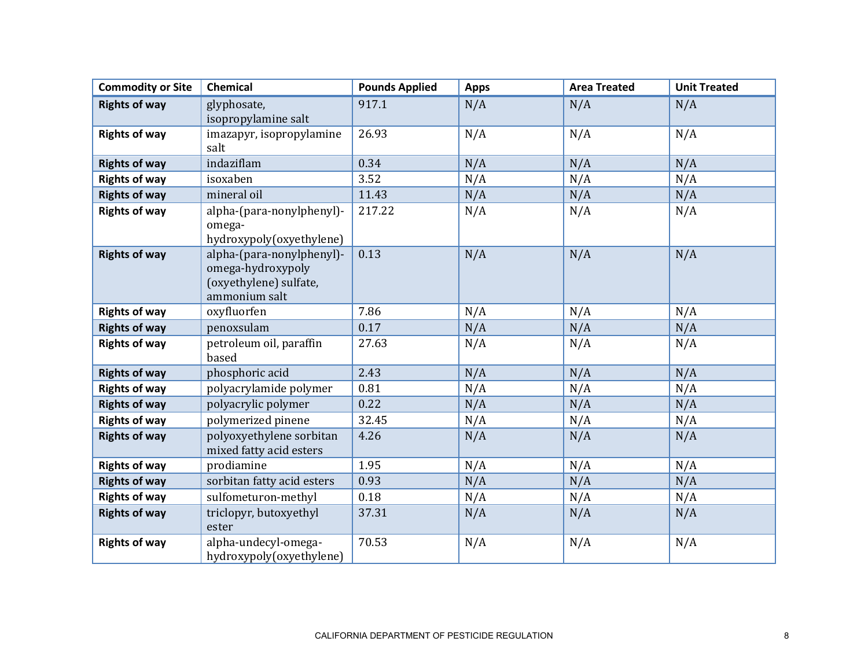| <b>Commodity or Site</b> | <b>Chemical</b>                                                                           | <b>Pounds Applied</b> | <b>Apps</b> | <b>Area Treated</b> | <b>Unit Treated</b> |
|--------------------------|-------------------------------------------------------------------------------------------|-----------------------|-------------|---------------------|---------------------|
| <b>Rights of way</b>     | glyphosate,<br>isopropylamine salt                                                        | 917.1                 | N/A         | N/A                 | N/A                 |
| <b>Rights of way</b>     | imazapyr, isopropylamine<br>salt                                                          | 26.93                 | N/A         | N/A                 | N/A                 |
| <b>Rights of way</b>     | indaziflam                                                                                | 0.34                  | N/A         | N/A                 | N/A                 |
| <b>Rights of way</b>     | isoxaben                                                                                  | 3.52                  | N/A         | N/A                 | N/A                 |
| <b>Rights of way</b>     | mineral oil                                                                               | 11.43                 | N/A         | N/A                 | N/A                 |
| <b>Rights of way</b>     | alpha-(para-nonylphenyl)-<br>omega-<br>hydroxypoly(oxyethylene)                           | 217.22                | N/A         | N/A                 | N/A                 |
| <b>Rights of way</b>     | alpha-(para-nonylphenyl)-<br>omega-hydroxypoly<br>(oxyethylene) sulfate,<br>ammonium salt | 0.13                  | N/A         | N/A                 | N/A                 |
| <b>Rights of way</b>     | oxyfluorfen                                                                               | 7.86                  | N/A         | N/A                 | N/A                 |
| <b>Rights of way</b>     | penoxsulam                                                                                | 0.17                  | N/A         | N/A                 | N/A                 |
| <b>Rights of way</b>     | petroleum oil, paraffin<br>based                                                          | 27.63                 | N/A         | N/A                 | N/A                 |
| <b>Rights of way</b>     | phosphoric acid                                                                           | 2.43                  | N/A         | N/A                 | N/A                 |
| <b>Rights of way</b>     | polyacrylamide polymer                                                                    | 0.81                  | N/A         | N/A                 | N/A                 |
| <b>Rights of way</b>     | polyacrylic polymer                                                                       | 0.22                  | N/A         | N/A                 | N/A                 |
| <b>Rights of way</b>     | polymerized pinene                                                                        | 32.45                 | N/A         | N/A                 | N/A                 |
| <b>Rights of way</b>     | polyoxyethylene sorbitan<br>mixed fatty acid esters                                       | 4.26                  | N/A         | N/A                 | N/A                 |
| <b>Rights of way</b>     | prodiamine                                                                                | 1.95                  | N/A         | N/A                 | N/A                 |
| <b>Rights of way</b>     | sorbitan fatty acid esters                                                                | 0.93                  | N/A         | N/A                 | N/A                 |
| <b>Rights of way</b>     | sulfometuron-methyl                                                                       | 0.18                  | N/A         | N/A                 | N/A                 |
| <b>Rights of way</b>     | triclopyr, butoxyethyl<br>ester                                                           | 37.31                 | N/A         | N/A                 | N/A                 |
| <b>Rights of way</b>     | alpha-undecyl-omega-<br>hydroxypoly(oxyethylene)                                          | 70.53                 | N/A         | N/A                 | N/A                 |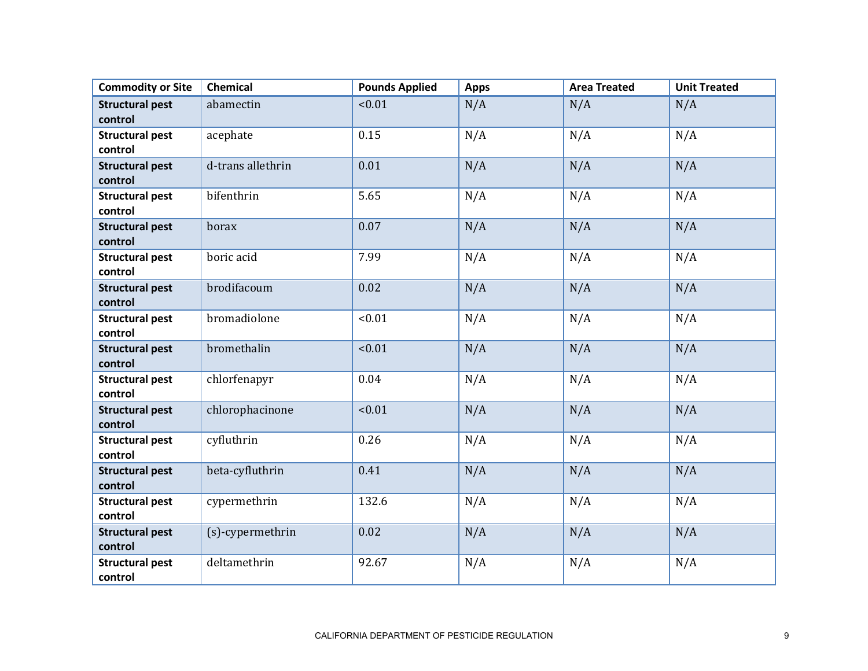| <b>Commodity or Site</b>          | Chemical          | <b>Pounds Applied</b> | <b>Apps</b> | <b>Area Treated</b> | <b>Unit Treated</b> |
|-----------------------------------|-------------------|-----------------------|-------------|---------------------|---------------------|
| <b>Structural pest</b><br>control | abamectin         | < 0.01                | N/A         | N/A                 | N/A                 |
| <b>Structural pest</b><br>control | acephate          | 0.15                  | N/A         | N/A                 | N/A                 |
| <b>Structural pest</b><br>control | d-trans allethrin | 0.01                  | N/A         | N/A                 | N/A                 |
| <b>Structural pest</b><br>control | bifenthrin        | 5.65                  | N/A         | N/A                 | N/A                 |
| <b>Structural pest</b><br>control | borax             | 0.07                  | N/A         | N/A                 | N/A                 |
| <b>Structural pest</b><br>control | boric acid        | 7.99                  | N/A         | N/A                 | N/A                 |
| <b>Structural pest</b><br>control | brodifacoum       | 0.02                  | N/A         | N/A                 | N/A                 |
| <b>Structural pest</b><br>control | bromadiolone      | < 0.01                | N/A         | N/A                 | N/A                 |
| <b>Structural pest</b><br>control | bromethalin       | < 0.01                | N/A         | N/A                 | N/A                 |
| <b>Structural pest</b><br>control | chlorfenapyr      | 0.04                  | N/A         | N/A                 | N/A                 |
| <b>Structural pest</b><br>control | chlorophacinone   | < 0.01                | N/A         | N/A                 | N/A                 |
| <b>Structural pest</b><br>control | cyfluthrin        | 0.26                  | N/A         | N/A                 | N/A                 |
| <b>Structural pest</b><br>control | beta-cyfluthrin   | 0.41                  | N/A         | N/A                 | N/A                 |
| <b>Structural pest</b><br>control | cypermethrin      | 132.6                 | N/A         | N/A                 | N/A                 |
| <b>Structural pest</b><br>control | (s)-cypermethrin  | 0.02                  | N/A         | N/A                 | N/A                 |
| <b>Structural pest</b><br>control | deltamethrin      | 92.67                 | N/A         | N/A                 | N/A                 |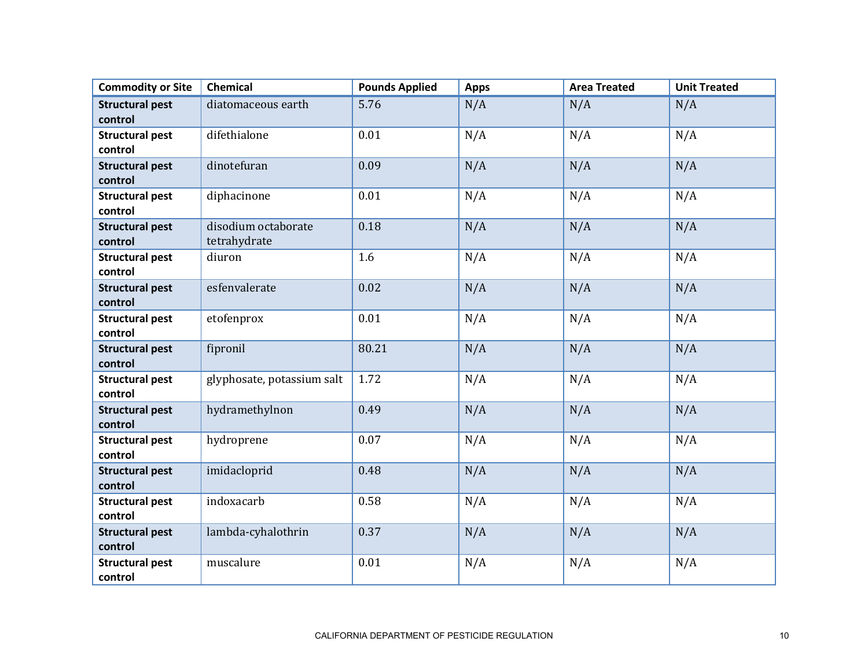| <b>Commodity or Site</b>          | <b>Chemical</b>                     | <b>Pounds Applied</b> | <b>Apps</b> | <b>Area Treated</b> | <b>Unit Treated</b> |
|-----------------------------------|-------------------------------------|-----------------------|-------------|---------------------|---------------------|
| <b>Structural pest</b><br>control | diatomaceous earth                  | 5.76                  | N/A         | N/A                 | N/A                 |
| <b>Structural pest</b><br>control | difethialone                        | 0.01                  | N/A         | N/A                 | N/A                 |
| <b>Structural pest</b><br>control | dinotefuran                         | 0.09                  | N/A         | N/A                 | N/A                 |
| <b>Structural pest</b><br>control | diphacinone                         | 0.01                  | N/A         | N/A                 | N/A                 |
| <b>Structural pest</b><br>control | disodium octaborate<br>tetrahydrate | 0.18                  | N/A         | N/A                 | N/A                 |
| <b>Structural pest</b><br>control | diuron                              | 1.6                   | N/A         | N/A                 | N/A                 |
| <b>Structural pest</b><br>control | esfenvalerate                       | 0.02                  | N/A         | N/A                 | N/A                 |
| <b>Structural pest</b><br>control | etofenprox                          | 0.01                  | N/A         | N/A                 | N/A                 |
| <b>Structural pest</b><br>control | fipronil                            | 80.21                 | N/A         | N/A                 | N/A                 |
| <b>Structural pest</b><br>control | glyphosate, potassium salt          | 1.72                  | N/A         | N/A                 | N/A                 |
| <b>Structural pest</b><br>control | hydramethylnon                      | 0.49                  | N/A         | N/A                 | N/A                 |
| <b>Structural pest</b><br>control | hydroprene                          | 0.07                  | N/A         | N/A                 | N/A                 |
| <b>Structural pest</b><br>control | imidacloprid                        | 0.48                  | N/A         | N/A                 | N/A                 |
| <b>Structural pest</b><br>control | indoxacarb                          | 0.58                  | N/A         | N/A                 | N/A                 |
| <b>Structural pest</b><br>control | lambda-cyhalothrin                  | 0.37                  | N/A         | N/A                 | N/A                 |
| <b>Structural pest</b><br>control | muscalure                           | 0.01                  | N/A         | N/A                 | N/A                 |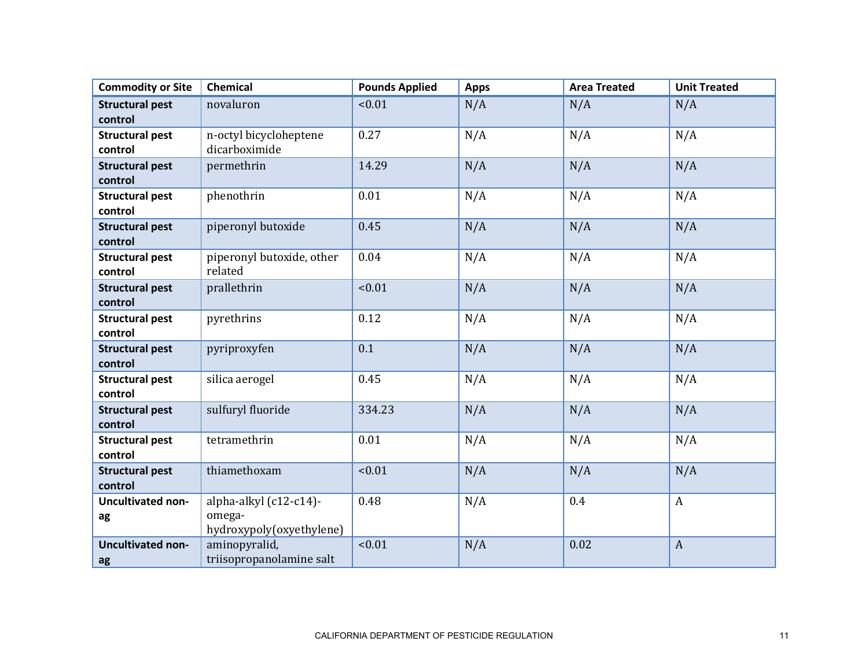| <b>Commodity or Site</b> | <b>Chemical</b>           | <b>Pounds Applied</b> | <b>Apps</b> | <b>Area Treated</b> | <b>Unit Treated</b> |
|--------------------------|---------------------------|-----------------------|-------------|---------------------|---------------------|
| <b>Structural pest</b>   | novaluron                 | < 0.01                | N/A         | N/A                 | N/A                 |
| control                  |                           |                       |             |                     |                     |
| <b>Structural pest</b>   | n-octyl bicycloheptene    | 0.27                  | N/A         | N/A                 | N/A                 |
| control                  | dicarboximide             |                       |             |                     |                     |
| <b>Structural pest</b>   | permethrin                | 14.29                 | N/A         | N/A                 | N/A                 |
| control                  |                           |                       |             |                     |                     |
| <b>Structural pest</b>   | phenothrin                | 0.01                  | N/A         | N/A                 | N/A                 |
| control                  |                           |                       |             |                     |                     |
| <b>Structural pest</b>   | piperonyl butoxide        | 0.45                  | N/A         | N/A                 | N/A                 |
| control                  |                           |                       |             |                     |                     |
| <b>Structural pest</b>   | piperonyl butoxide, other | 0.04                  | N/A         | N/A                 | N/A                 |
| control                  | related                   |                       |             |                     |                     |
| <b>Structural pest</b>   | prallethrin               | < 0.01                | N/A         | N/A                 | N/A                 |
| control                  |                           |                       |             |                     |                     |
| <b>Structural pest</b>   | pyrethrins                | 0.12                  | N/A         | N/A                 | N/A                 |
| control                  |                           |                       |             |                     |                     |
| <b>Structural pest</b>   | pyriproxyfen              | 0.1                   | N/A         | N/A                 | N/A                 |
| control                  |                           |                       |             |                     |                     |
| <b>Structural pest</b>   | silica aerogel            | 0.45                  | N/A         | N/A                 | N/A                 |
| control                  |                           |                       |             |                     |                     |
| <b>Structural pest</b>   | sulfuryl fluoride         | 334.23                | N/A         | N/A                 | N/A                 |
| control                  |                           |                       |             |                     |                     |
| <b>Structural pest</b>   | tetramethrin              | 0.01                  | N/A         | N/A                 | N/A                 |
| control                  |                           |                       |             |                     |                     |
| <b>Structural pest</b>   | thiamethoxam              | < 0.01                | N/A         | N/A                 | N/A                 |
| control                  |                           |                       |             |                     |                     |
| <b>Uncultivated non-</b> | alpha-alkyl (c12-c14)-    | 0.48                  | N/A         | 0.4                 | $\boldsymbol{A}$    |
| ag                       | omega-                    |                       |             |                     |                     |
|                          | hydroxypoly(oxyethylene)  |                       |             |                     |                     |
| <b>Uncultivated non-</b> | aminopyralid,             | < 0.01                | N/A         | 0.02                | $\boldsymbol{A}$    |
| ag                       | triisopropanolamine salt  |                       |             |                     |                     |